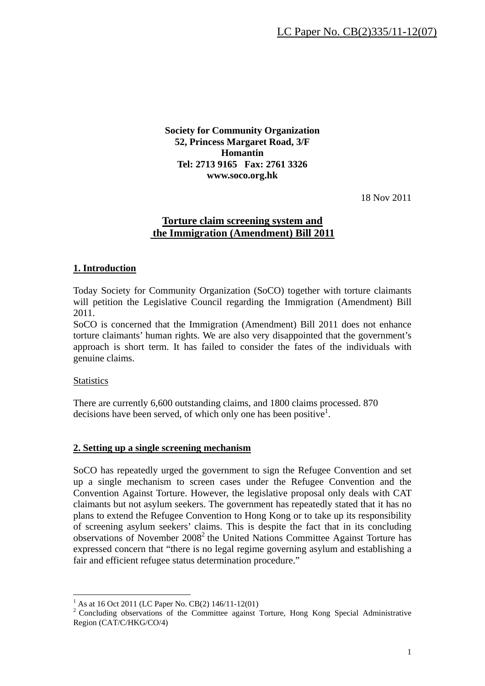**Society for Community Organization 52, Princess Margaret Road, 3/F Homantin Tel: 2713 9165 Fax: 2761 3326 www.soco.org.hk** 

18 Nov 2011

# **Torture claim screening system and the Immigration (Amendment) Bill 2011**

## **1. Introduction**

Today Society for Community Organization (SoCO) together with torture claimants will petition the Legislative Council regarding the Immigration (Amendment) Bill 2011.

SoCO is concerned that the Immigration (Amendment) Bill 2011 does not enhance torture claimants' human rights. We are also very disappointed that the government's approach is short term. It has failed to consider the fates of the individuals with genuine claims.

### **Statistics**

1

There are currently 6,600 outstanding claims, and 1800 claims processed. 870 decisions have been served, of which only one has been positive<sup>1</sup>.

### **2. Setting up a single screening mechanism**

SoCO has repeatedly urged the government to sign the Refugee Convention and set up a single mechanism to screen cases under the Refugee Convention and the Convention Against Torture. However, the legislative proposal only deals with CAT claimants but not asylum seekers. The government has repeatedly stated that it has no plans to extend the Refugee Convention to Hong Kong or to take up its responsibility of screening asylum seekers' claims. This is despite the fact that in its concluding observations of November 2008<sup>2</sup> the United Nations Committee Against Torture has expressed concern that "there is no legal regime governing asylum and establishing a fair and efficient refugee status determination procedure."

<sup>&</sup>lt;sup>1</sup> As at 16 Oct 2011 (LC Paper No. CB(2) 146/11-12(01)

<sup>&</sup>lt;sup>2</sup> Concluding observations of the Committee against Torture, Hong Kong Special Administrative Region (CAT/C/HKG/CO/4)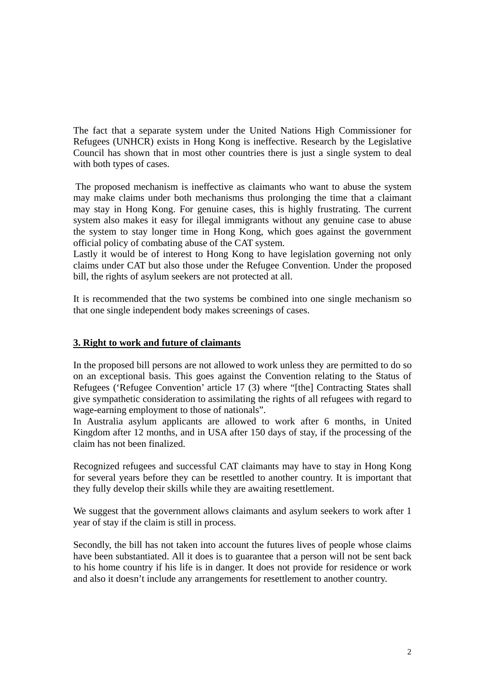The fact that a separate system under the United Nations High Commissioner for Refugees (UNHCR) exists in Hong Kong is ineffective. Research by the Legislative Council has shown that in most other countries there is just a single system to deal with both types of cases.

 The proposed mechanism is ineffective as claimants who want to abuse the system may make claims under both mechanisms thus prolonging the time that a claimant may stay in Hong Kong. For genuine cases, this is highly frustrating. The current system also makes it easy for illegal immigrants without any genuine case to abuse the system to stay longer time in Hong Kong, which goes against the government official policy of combating abuse of the CAT system.

Lastly it would be of interest to Hong Kong to have legislation governing not only claims under CAT but also those under the Refugee Convention. Under the proposed bill, the rights of asylum seekers are not protected at all.

It is recommended that the two systems be combined into one single mechanism so that one single independent body makes screenings of cases.

## **3. Right to work and future of claimants**

In the proposed bill persons are not allowed to work unless they are permitted to do so on an exceptional basis. This goes against the Convention relating to the Status of Refugees ('Refugee Convention' article 17 (3) where "[the] Contracting States shall give sympathetic consideration to assimilating the rights of all refugees with regard to wage-earning employment to those of nationals".

In Australia asylum applicants are allowed to work after 6 months, in United Kingdom after 12 months, and in USA after 150 days of stay, if the processing of the claim has not been finalized.

Recognized refugees and successful CAT claimants may have to stay in Hong Kong for several years before they can be resettled to another country. It is important that they fully develop their skills while they are awaiting resettlement.

We suggest that the government allows claimants and asylum seekers to work after 1 year of stay if the claim is still in process.

Secondly, the bill has not taken into account the futures lives of people whose claims have been substantiated. All it does is to guarantee that a person will not be sent back to his home country if his life is in danger. It does not provide for residence or work and also it doesn't include any arrangements for resettlement to another country.